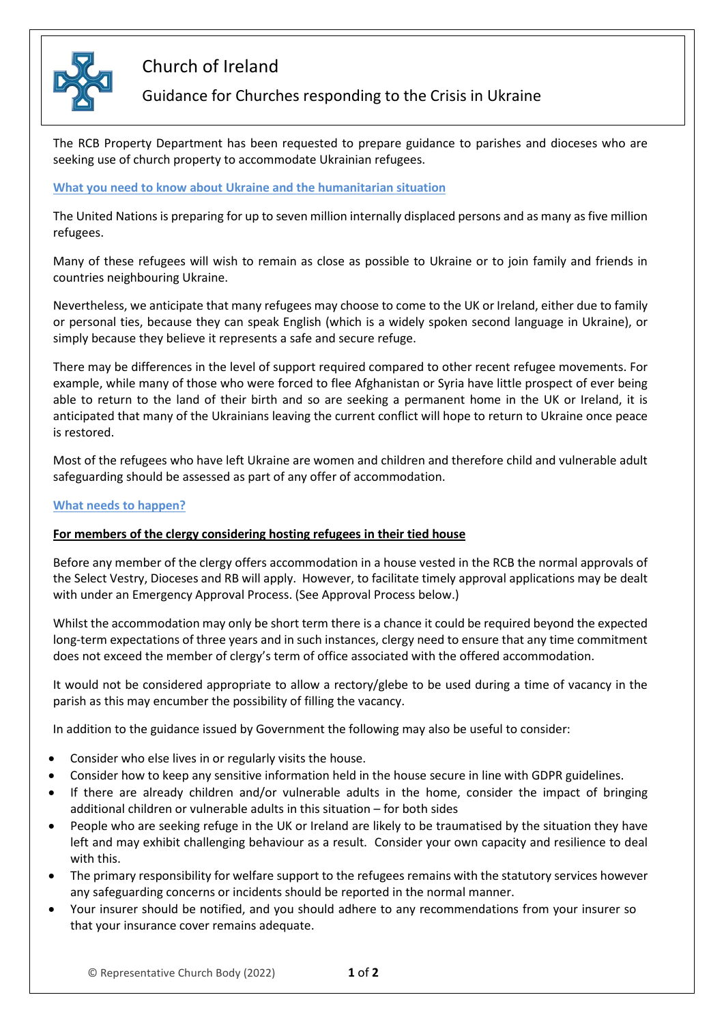

# Church of Ireland

## Guidance for Churches responding to the Crisis in Ukraine

The RCB Property Department has been requested to prepare guidance to parishes and dioceses who are seeking use of church property to accommodate Ukrainian refugees.

#### **What you need to know about Ukraine and the humanitarian situation**

The United Nations is preparing for up to seven million internally displaced persons and as many as five million refugees.

Many of these refugees will wish to remain as close as possible to Ukraine or to join family and friends in countries neighbouring Ukraine.

Nevertheless, we anticipate that many refugees may choose to come to the UK or Ireland, either due to family or personal ties, because they can speak English (which is a widely spoken second language in Ukraine), or simply because they believe it represents a safe and secure refuge.

There may be differences in the level of support required compared to other recent refugee movements. For example, while many of those who were forced to flee Afghanistan or Syria have little prospect of ever being able to return to the land of their birth and so are seeking a permanent home in the UK or Ireland, it is anticipated that many of the Ukrainians leaving the current conflict will hope to return to Ukraine once peace is restored.

Most of the refugees who have left Ukraine are women and children and therefore child and vulnerable adult safeguarding should be assessed as part of any offer of accommodation.

#### **What needs to happen?**

### **For members of the clergy considering hosting refugees in their tied house**

Before any member of the clergy offers accommodation in a house vested in the RCB the normal approvals of the Select Vestry, Dioceses and RB will apply. However, to facilitate timely approval applications may be dealt with under an Emergency Approval Process. (See Approval Process below.)

Whilst the accommodation may only be short term there is a chance it could be required beyond the expected long-term expectations of three years and in such instances, clergy need to ensure that any time commitment does not exceed the member of clergy's term of office associated with the offered accommodation.

It would not be considered appropriate to allow a rectory/glebe to be used during a time of vacancy in the parish as this may encumber the possibility of filling the vacancy.

In addition to the guidance issued by Government the following may also be useful to consider:

- Consider who else lives in or regularly visits the house.
- Consider how to keep any sensitive information held in the house secure in line with GDPR guidelines.
- If there are already children and/or vulnerable adults in the home, consider the impact of bringing additional children or vulnerable adults in this situation – for both sides
- People who are seeking refuge in the UK or Ireland are likely to be traumatised by the situation they have left and may exhibit challenging behaviour as a result. Consider your own capacity and resilience to deal with this.
- The primary responsibility for welfare support to the refugees remains with the statutory services however any safeguarding concerns or incidents should be reported in the normal manner.
- Your insurer should be notified, and you should adhere to any recommendations from your insurer so that your insurance cover remains adequate.